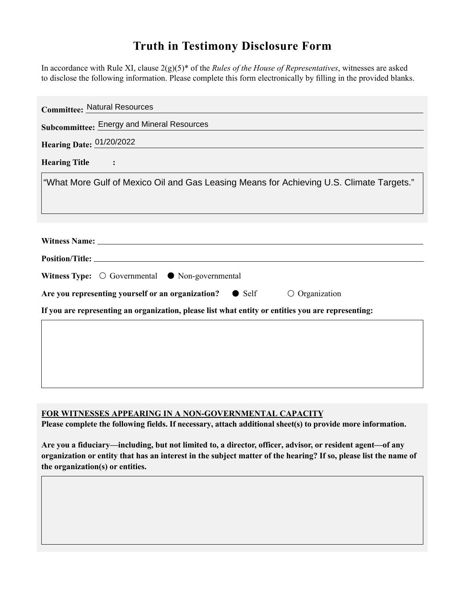## **Truth in Testimony Disclosure Form**

In accordance with Rule XI, clause 2(g)(5)\* of the *Rules of the House of Representatives*, witnesses are asked to disclose the following information. Please complete this form electronically by filling in the provided blanks.

| <b>Committee: Natural Resources</b>                                                                                                                                                                                            |
|--------------------------------------------------------------------------------------------------------------------------------------------------------------------------------------------------------------------------------|
| Subcommittee: Energy and Mineral Resources                                                                                                                                                                                     |
| Hearing Date: 01/20/2022                                                                                                                                                                                                       |
| <b>Hearing Title</b><br>$\sim$ $\sim$ $\sim$                                                                                                                                                                                   |
| "What More Gulf of Mexico Oil and Gas Leasing Means for Achieving U.S. Climate Targets."                                                                                                                                       |
|                                                                                                                                                                                                                                |
|                                                                                                                                                                                                                                |
| Witness Name: Name and South Assembly and South Assembly and South Assembly and South Assembly and South Assembly and South Assembly and South Assembly and South Assembly and Assembly and Assembly and Assembly and Assembly |
|                                                                                                                                                                                                                                |
| Witness Type: $\bigcirc$ Governmental $\bullet$ Non-governmental                                                                                                                                                               |
| Are you representing yourself or an organization? • Self<br>$\circ$ Organization                                                                                                                                               |
| If you are representing an organization, please list what entity or entities you are representing:                                                                                                                             |
|                                                                                                                                                                                                                                |
|                                                                                                                                                                                                                                |
|                                                                                                                                                                                                                                |
|                                                                                                                                                                                                                                |

## **FOR WITNESSES APPEARING IN A NON-GOVERNMENTAL CAPACITY**

**Please complete the following fields. If necessary, attach additional sheet(s) to provide more information.**

**Are you a fiduciary—including, but not limited to, a director, officer, advisor, or resident agent—of any organization or entity that has an interest in the subject matter of the hearing? If so, please list the name of the organization(s) or entities.**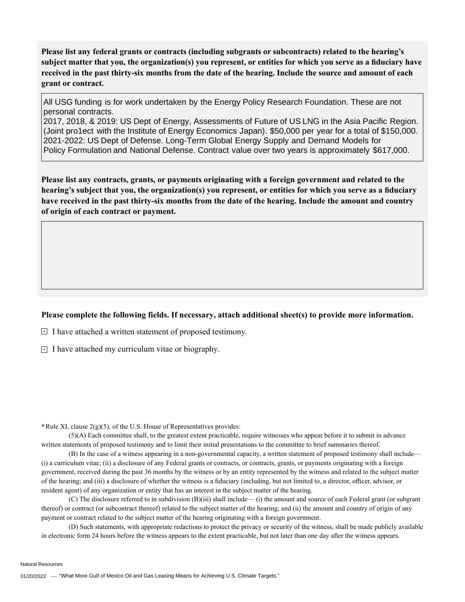**Please list any federal grants or contracts (including subgrants or subcontracts) related to the hearing's subject matter that you, the organization(s) you represent, or entities for which you serve as a fiduciary have received in the past thirty-six months from the date of the hearing. Include the source and amount of each grant or contract.** 

All USG funding is for work undertaken by the Energy Policy Research Foundation. These are not personal contracts.

2017, 2018, & 2019: US Dept of Energy, Assessments of Future of US LNG in the Asia Pacific Region. (Joint pro1ect with the Institute of Energy Economics Japan). \$50,000 per year for a total of \$150,000. 2021-2022: US Dept of Defense. Long-Term Global Energy Supply and Demand Models for Policy Formulation and National Defense. Contract value over two years is approximately \$617,000.

**Please list any contracts, grants, or payments originating with a foreign government and related to the hearing's subject that you, the organization(s) you represent, or entities for which you serve as a fiduciary have received in the past thirty-six months from the date of the hearing. Include the amount and country of origin of each contract or payment.** 

## **Please complete the following fields. If necessary, attach additional sheet(s) to provide more information.**

 $\exists$  I have attached a written statement of proposed testimony.

 $\subseteq$  I have attached my curriculum vitae or biography.

**\***Rule XI, clause 2(g)(5), of the U.S. House of Representatives provides:

(5)(A) Each committee shall, to the greatest extent practicable, require witnesses who appear before it to submit in advance written statements of proposed testimony and to limit their initial presentations to the committee to brief summaries thereof.

(B) In the case of a witness appearing in a non-governmental capacity, a written statement of proposed testimony shall include— (i) a curriculum vitae; (ii) a disclosure of any Federal grants or contracts, or contracts, grants, or payments originating with a foreign government, received during the past 36 months by the witness or by an entity represented by the witness and related to the subject matter of the hearing; and (iii) a disclosure of whether the witness is a fiduciary (including, but not limited to, a director, officer, advisor, or resident agent) of any organization or entity that has an interest in the subject matter of the hearing.

(C) The disclosure referred to in subdivision (B)(iii) shall include— (i) the amount and source of each Federal grant (or subgrant thereof) or contract (or subcontract thereof) related to the subject matter of the hearing; and (ii) the amount and country of origin of any payment or contract related to the subject matter of the hearing originating with a foreign government.

(D) Such statements, with appropriate redactions to protect the privacy or security of the witness, shall be made publicly available in electronic form 24 hours before the witness appears to the extent practicable, but not later than one day after the witness appears.

Natural Resources